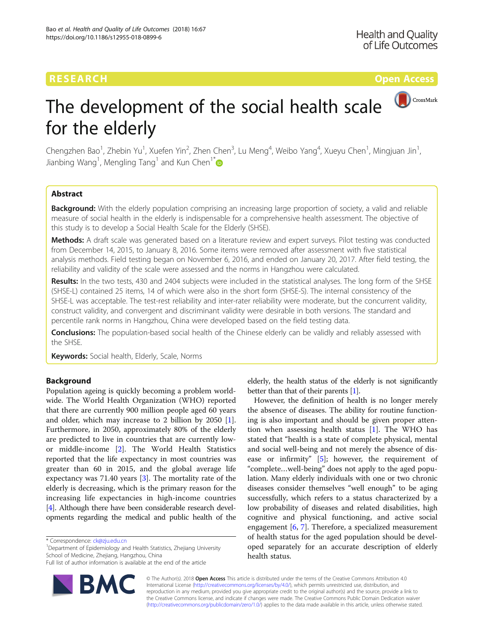# **RESEARCH CH Open Access CHOOP CONTROL**



# The development of the social health scale for the elderly

Chengzhen Bao<sup>1</sup>, Zhebin Yu<sup>1</sup>, Xuefen Yin<sup>2</sup>, Zhen Chen<sup>3</sup>, Lu Meng<sup>4</sup>, Weibo Yang<sup>4</sup>, Xueyu Chen<sup>1</sup>, Mingjuan Jin<sup>1</sup> , Jianbing Wang<sup>1</sup>, Mengling Tang<sup>1</sup> and Kun Chen<sup>1[\\*](http://orcid.org/0000-0003-1162-6896)</sup>

# Abstract

Background: With the elderly population comprising an increasing large proportion of society, a valid and reliable measure of social health in the elderly is indispensable for a comprehensive health assessment. The objective of this study is to develop a Social Health Scale for the Elderly (SHSE).

Methods: A draft scale was generated based on a literature review and expert surveys. Pilot testing was conducted from December 14, 2015, to January 8, 2016. Some items were removed after assessment with five statistical analysis methods. Field testing began on November 6, 2016, and ended on January 20, 2017. After field testing, the reliability and validity of the scale were assessed and the norms in Hangzhou were calculated.

Results: In the two tests, 430 and 2404 subjects were included in the statistical analyses. The long form of the SHSE (SHSE-L) contained 25 items, 14 of which were also in the short form (SHSE-S). The internal consistency of the SHSE-L was acceptable. The test-rest reliability and inter-rater reliability were moderate, but the concurrent validity, construct validity, and convergent and discriminant validity were desirable in both versions. The standard and percentile rank norms in Hangzhou, China were developed based on the field testing data.

Conclusions: The population-based social health of the Chinese elderly can be validly and reliably assessed with the SHSE.

**Keywords:** Social health, Elderly, Scale, Norms

# Background

Population ageing is quickly becoming a problem worldwide. The World Health Organization (WHO) reported that there are currently 900 million people aged 60 years and older, which may increase to 2 billion by 2050 [\[1](#page-13-0)]. Furthermore, in 2050, approximately 80% of the elderly are predicted to live in countries that are currently lowor middle-income [\[2\]](#page-13-0). The World Health Statistics reported that the life expectancy in most countries was greater than 60 in 2015, and the global average life expectancy was 71.40 years [[3\]](#page-13-0). The mortality rate of the elderly is decreasing, which is the primary reason for the increasing life expectancies in high-income countries [[4](#page-13-0)]. Although there have been considerable research developments regarding the medical and public health of the

<sup>1</sup>Department of Epidemiology and Health Statistics, Zhejiang University School of Medicine, Zhejiang, Hangzhou, China Full list of author information is available at the end of the article

However, the definition of health is no longer merely the absence of diseases. The ability for routine functioning is also important and should be given proper attention when assessing health status  $[1]$  $[1]$ . The WHO has stated that "health is a state of complete physical, mental and social well-being and not merely the absence of disease or infirmity" [[5](#page-13-0)]; however, the requirement of "complete…well-being" does not apply to the aged population. Many elderly individuals with one or two chronic diseases consider themselves "well enough" to be aging successfully, which refers to a status characterized by a low probability of diseases and related disabilities, high cognitive and physical functioning, and active social engagement [\[6,](#page-13-0) [7](#page-13-0)]. Therefore, a specialized measurement of health status for the aged population should be developed separately for an accurate description of elderly health status.

© The Author(s). 2018 Open Access This article is distributed under the terms of the Creative Commons Attribution 4.0 International License [\(http://creativecommons.org/licenses/by/4.0/](http://creativecommons.org/licenses/by/4.0/)), which permits unrestricted use, distribution, and reproduction in any medium, provided you give appropriate credit to the original author(s) and the source, provide a link to the Creative Commons license, and indicate if changes were made. The Creative Commons Public Domain Dedication waiver [\(http://creativecommons.org/publicdomain/zero/1.0/](http://creativecommons.org/publicdomain/zero/1.0/)) applies to the data made available in this article, unless otherwise stated.



<sup>\*</sup> Correspondence: [ck@zju.edu.cn](mailto:ck@zju.edu.cn) <sup>1</sup>

elderly, the health status of the elderly is not significantly better than that of their parents [[1\]](#page-13-0).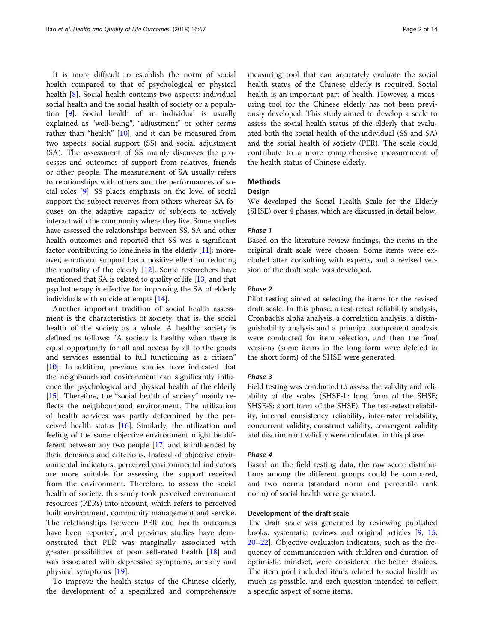It is more difficult to establish the norm of social health compared to that of psychological or physical health [[8](#page-13-0)]. Social health contains two aspects: individual social health and the social health of society or a population [[9\]](#page-13-0). Social health of an individual is usually explained as "well-being", "adjustment" or other terms rather than "health" [\[10](#page-13-0)], and it can be measured from two aspects: social support (SS) and social adjustment (SA). The assessment of SS mainly discusses the processes and outcomes of support from relatives, friends or other people. The measurement of SA usually refers to relationships with others and the performances of social roles [[9\]](#page-13-0). SS places emphasis on the level of social support the subject receives from others whereas SA focuses on the adaptive capacity of subjects to actively interact with the community where they live. Some studies have assessed the relationships between SS, SA and other health outcomes and reported that SS was a significant factor contributing to loneliness in the elderly [\[11\]](#page-13-0); moreover, emotional support has a positive effect on reducing the mortality of the elderly [\[12\]](#page-13-0). Some researchers have mentioned that SA is related to quality of life [\[13\]](#page-13-0) and that psychotherapy is effective for improving the SA of elderly individuals with suicide attempts [\[14](#page-13-0)].

Another important tradition of social health assessment is the characteristics of society, that is, the social health of the society as a whole. A healthy society is defined as follows: "A society is healthy when there is equal opportunity for all and access by all to the goods and services essential to full functioning as a citizen" [[10\]](#page-13-0). In addition, previous studies have indicated that the neighbourhood environment can significantly influence the psychological and physical health of the elderly [[15\]](#page-13-0). Therefore, the "social health of society" mainly reflects the neighbourhood environment. The utilization of health services was partly determined by the perceived health status [[16\]](#page-13-0). Similarly, the utilization and feeling of the same objective environment might be different between any two people [[17](#page-13-0)] and is influenced by their demands and criterions. Instead of objective environmental indicators, perceived environmental indicators are more suitable for assessing the support received from the environment. Therefore, to assess the social health of society, this study took perceived environment resources (PERs) into account, which refers to perceived built environment, community management and service. The relationships between PER and health outcomes have been reported, and previous studies have demonstrated that PER was marginally associated with greater possibilities of poor self-rated health [\[18](#page-13-0)] and was associated with depressive symptoms, anxiety and physical symptoms [[19\]](#page-13-0).

To improve the health status of the Chinese elderly, the development of a specialized and comprehensive

measuring tool that can accurately evaluate the social health status of the Chinese elderly is required. Social health is an important part of health. However, a measuring tool for the Chinese elderly has not been previously developed. This study aimed to develop a scale to assess the social health status of the elderly that evaluated both the social health of the individual (SS and SA) and the social health of society (PER). The scale could contribute to a more comprehensive measurement of the health status of Chinese elderly.

# Methods

# Design

We developed the Social Health Scale for the Elderly (SHSE) over 4 phases, which are discussed in detail below.

#### Phase 1

Based on the literature review findings, the items in the original draft scale were chosen. Some items were excluded after consulting with experts, and a revised version of the draft scale was developed.

## Phase 2

Pilot testing aimed at selecting the items for the revised draft scale. In this phase, a test-retest reliability analysis, Cronbach's alpha analysis, a correlation analysis, a distinguishability analysis and a principal component analysis were conducted for item selection, and then the final versions (some items in the long form were deleted in the short form) of the SHSE were generated.

#### Phase 3

Field testing was conducted to assess the validity and reliability of the scales (SHSE-L: long form of the SHSE; SHSE-S: short form of the SHSE). The test-retest reliability, internal consistency reliability, inter-rater reliability, concurrent validity, construct validity, convergent validity and discriminant validity were calculated in this phase.

# Phase 4

Based on the field testing data, the raw score distributions among the different groups could be compared, and two norms (standard norm and percentile rank norm) of social health were generated.

# Development of the draft scale

The draft scale was generated by reviewing published books, systematic reviews and original articles [\[9](#page-13-0), [15](#page-13-0), [20](#page-13-0)–[22](#page-13-0)]. Objective evaluation indicators, such as the frequency of communication with children and duration of optimistic mindset, were considered the better choices. The item pool included items related to social health as much as possible, and each question intended to reflect a specific aspect of some items.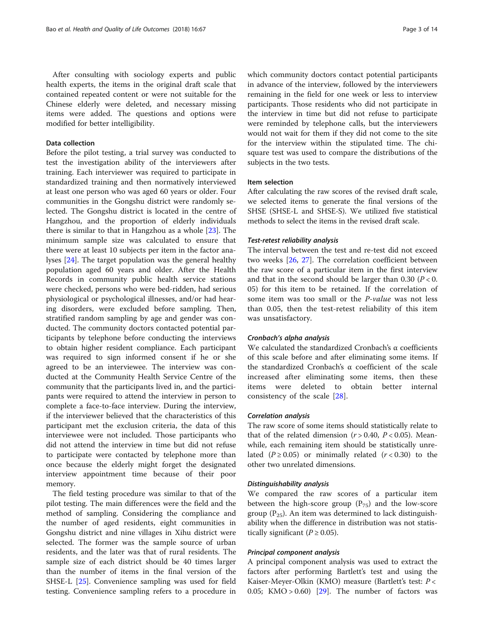After consulting with sociology experts and public health experts, the items in the original draft scale that contained repeated content or were not suitable for the Chinese elderly were deleted, and necessary missing items were added. The questions and options were modified for better intelligibility.

### Data collection

Before the pilot testing, a trial survey was conducted to test the investigation ability of the interviewers after training. Each interviewer was required to participate in standardized training and then normatively interviewed at least one person who was aged 60 years or older. Four communities in the Gongshu district were randomly selected. The Gongshu district is located in the centre of Hangzhou, and the proportion of elderly individuals there is similar to that in Hangzhou as a whole [\[23](#page-13-0)]. The minimum sample size was calculated to ensure that there were at least 10 subjects per item in the factor analyses [[24\]](#page-13-0). The target population was the general healthy population aged 60 years and older. After the Health Records in community public health service stations were checked, persons who were bed-ridden, had serious physiological or psychological illnesses, and/or had hearing disorders, were excluded before sampling. Then, stratified random sampling by age and gender was conducted. The community doctors contacted potential participants by telephone before conducting the interviews to obtain higher resident compliance. Each participant was required to sign informed consent if he or she agreed to be an interviewee. The interview was conducted at the Community Health Service Centre of the community that the participants lived in, and the participants were required to attend the interview in person to complete a face-to-face interview. During the interview, if the interviewer believed that the characteristics of this participant met the exclusion criteria, the data of this interviewee were not included. Those participants who did not attend the interview in time but did not refuse to participate were contacted by telephone more than once because the elderly might forget the designated interview appointment time because of their poor memory.

The field testing procedure was similar to that of the pilot testing. The main differences were the field and the method of sampling. Considering the compliance and the number of aged residents, eight communities in Gongshu district and nine villages in Xihu district were selected. The former was the sample source of urban residents, and the later was that of rural residents. The sample size of each district should be 40 times larger than the number of items in the final version of the SHSE-L [\[25](#page-13-0)]. Convenience sampling was used for field testing. Convenience sampling refers to a procedure in which community doctors contact potential participants in advance of the interview, followed by the interviewers remaining in the field for one week or less to interview participants. Those residents who did not participate in the interview in time but did not refuse to participate were reminded by telephone calls, but the interviewers would not wait for them if they did not come to the site for the interview within the stipulated time. The chisquare test was used to compare the distributions of the subjects in the two tests.

#### Item selection

After calculating the raw scores of the revised draft scale, we selected items to generate the final versions of the SHSE (SHSE-L and SHSE-S). We utilized five statistical methods to select the items in the revised draft scale.

# Test-retest reliability analysis

The interval between the test and re-test did not exceed two weeks [\[26](#page-13-0), [27](#page-13-0)]. The correlation coefficient between the raw score of a particular item in the first interview and that in the second should be larger than 0.30 ( $P < 0$ . 05) for this item to be retained. If the correlation of some item was too small or the P-value was not less than 0.05, then the test-retest reliability of this item was unsatisfactory.

#### Cronbach's alpha analysis

We calculated the standardized Cronbach's α coefficients of this scale before and after eliminating some items. If the standardized Cronbach's α coefficient of the scale increased after eliminating some items, then these items were deleted to obtain better internal consistency of the scale [[28\]](#page-13-0).

# Correlation analysis

The raw score of some items should statistically relate to that of the related dimension  $(r > 0.40, P < 0.05)$ . Meanwhile, each remaining item should be statistically unrelated ( $P \ge 0.05$ ) or minimally related ( $r < 0.30$ ) to the other two unrelated dimensions.

#### Distinguishability analysis

We compared the raw scores of a particular item between the high-score group  $(P_{75})$  and the low-score group  $(P_{25})$ . An item was determined to lack distinguishability when the difference in distribution was not statistically significant ( $P \ge 0.05$ ).

# Principal component analysis

A principal component analysis was used to extract the factors after performing Bartlett's test and using the Kaiser-Meyer-Olkin (KMO) measure (Bartlett's test: P < 0.05; KMO > 0.60) [\[29](#page-13-0)]. The number of factors was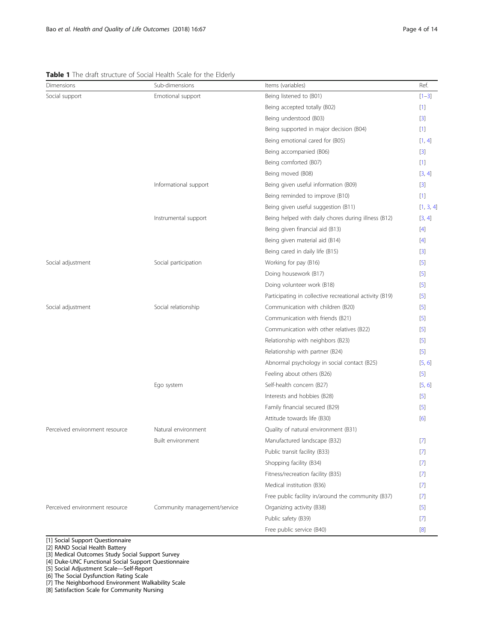<span id="page-3-0"></span>

| Table 1 The draft structure of Social Health Scale for the Elderly |  |
|--------------------------------------------------------------------|--|
|--------------------------------------------------------------------|--|

| Dimensions                     | Sub-dimensions               | Items (variables)                                       | Ref.                                                                                                                                                                                                                         |
|--------------------------------|------------------------------|---------------------------------------------------------|------------------------------------------------------------------------------------------------------------------------------------------------------------------------------------------------------------------------------|
| Social support                 | Emotional support            | Being listened to (B01)                                 | $[1-3]$                                                                                                                                                                                                                      |
|                                |                              | Being accepted totally (B02)                            | $[1]$                                                                                                                                                                                                                        |
|                                |                              | Being understood (B03)                                  | $[3]$                                                                                                                                                                                                                        |
|                                |                              | Being supported in major decision (B04)                 | $[1]$                                                                                                                                                                                                                        |
|                                |                              | Being emotional cared for (B05)                         | [1, 4]                                                                                                                                                                                                                       |
|                                |                              | Being accompanied (B06)                                 | $[3]$                                                                                                                                                                                                                        |
|                                |                              | Being comforted (B07)                                   | $[1]$                                                                                                                                                                                                                        |
|                                |                              | Being moved (B08)                                       | [3, 4]                                                                                                                                                                                                                       |
|                                | Informational support        | Being given useful information (B09)                    | $[3]$                                                                                                                                                                                                                        |
|                                |                              | Being reminded to improve (B10)                         | $[1]$                                                                                                                                                                                                                        |
|                                |                              | Being given useful suggestion (B11)                     | [1, 3, 4]                                                                                                                                                                                                                    |
|                                | Instrumental support         | Being helped with daily chores during illness (B12)     | [3, 4]                                                                                                                                                                                                                       |
|                                |                              | Being given financial aid (B13)                         | $[4]$                                                                                                                                                                                                                        |
|                                |                              | Being given material aid (B14)                          | $[4]$                                                                                                                                                                                                                        |
|                                |                              | Being cared in daily life (B15)                         | $[3]$                                                                                                                                                                                                                        |
| Social adjustment              | Social participation         | Working for pay (B16)                                   | $[5]$                                                                                                                                                                                                                        |
|                                |                              | Doing housework (B17)                                   | $[5]$                                                                                                                                                                                                                        |
|                                |                              | Doing volunteer work (B18)                              | $[5]$                                                                                                                                                                                                                        |
|                                |                              | Participating in collective recreational activity (B19) | $\lbrack 5\rbrack$                                                                                                                                                                                                           |
| Social adjustment              | Social relationship          | Communication with children (B20)                       | $\lbrack 5\rbrack$                                                                                                                                                                                                           |
|                                |                              | Communication with friends (B21)                        | $\lbrack 5\rbrack$                                                                                                                                                                                                           |
|                                |                              | Communication with other relatives (B22)                | $[5]$                                                                                                                                                                                                                        |
|                                |                              | Relationship with neighbors (B23)                       | $[5]$                                                                                                                                                                                                                        |
|                                |                              | Relationship with partner (B24)                         | $[5]$                                                                                                                                                                                                                        |
|                                |                              | Abnormal psychology in social contact (B25)             | [5, 6]                                                                                                                                                                                                                       |
|                                |                              | Feeling about others (B26)                              | $\left[5\right]$                                                                                                                                                                                                             |
|                                | Ego system                   | Self-health concern (B27)                               | [5, 6]                                                                                                                                                                                                                       |
|                                |                              | Interests and hobbies (B28)                             | $[5]$                                                                                                                                                                                                                        |
|                                |                              | Family financial secured (B29)                          | $[5]$                                                                                                                                                                                                                        |
|                                |                              | Attitude towards life (B30)                             | [6]                                                                                                                                                                                                                          |
| Perceived environment resource | Natural environment          | Quality of natural environment (B31)                    |                                                                                                                                                                                                                              |
|                                | Built environment            | Manufactured landscape (B32)                            | $[7]$                                                                                                                                                                                                                        |
|                                |                              | Public transit facility (B33)                           | $[7]$                                                                                                                                                                                                                        |
|                                |                              | Shopping facility (B34)                                 | $[7]$                                                                                                                                                                                                                        |
|                                |                              | Fitness/recreation facility (B35)                       | $[7]$                                                                                                                                                                                                                        |
|                                |                              | Medical institution (B36)                               | $[7]$                                                                                                                                                                                                                        |
|                                |                              | Free public facility in/around the community (B37)      | $[7]$                                                                                                                                                                                                                        |
| Perceived environment resource | Community management/service | Organizing activity (B38)                               | $[5]$                                                                                                                                                                                                                        |
|                                |                              | Public safety (B39)                                     | $[7] \centering \includegraphics[width=0.8\textwidth]{images/TrDiM1.png} \caption{The 3D (black) model for a different region of the left and right. The left is the same time, the right is the same time.} \label{TrDiM2}$ |
|                                |                              | Free public service (B40)                               | [8]                                                                                                                                                                                                                          |

[1] Social Support Questionnaire

[2] RAND Social Health Battery

[3] Medical Outcomes Study Social Support Survey

[4] Duke-UNC Functional Social Support Questionnaire

[5] Social Adjustment Scale—Self-Report

[6] The Social Dysfunction Rating Scale

[7] The Neighborhood Environment Walkability Scale

[8] Satisfaction Scale for Community Nursing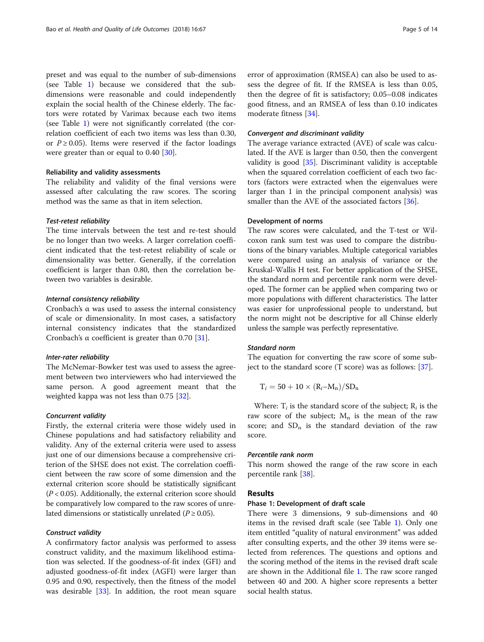preset and was equal to the number of sub-dimensions (see Table [1](#page-3-0)) because we considered that the subdimensions were reasonable and could independently explain the social health of the Chinese elderly. The factors were rotated by Varimax because each two items (see Table [1](#page-3-0)) were not significantly correlated (the correlation coefficient of each two items was less than 0.30, or  $P \ge 0.05$ ). Items were reserved if the factor loadings were greater than or equal to 0.40 [\[30](#page-13-0)].

#### Reliability and validity assessments

The reliability and validity of the final versions were assessed after calculating the raw scores. The scoring method was the same as that in item selection.

# Test-retest reliability

The time intervals between the test and re-test should be no longer than two weeks. A larger correlation coefficient indicated that the test-retest reliability of scale or dimensionality was better. Generally, if the correlation coefficient is larger than 0.80, then the correlation between two variables is desirable.

#### Internal consistency reliability

Cronbach's α was used to assess the internal consistency of scale or dimensionality. In most cases, a satisfactory internal consistency indicates that the standardized Cronbach's α coefficient is greater than 0.70 [[31\]](#page-13-0).

#### Inter-rater reliability

The McNemar-Bowker test was used to assess the agreement between two interviewers who had interviewed the same person. A good agreement meant that the weighted kappa was not less than 0.75 [[32\]](#page-13-0).

# Concurrent validity

Firstly, the external criteria were those widely used in Chinese populations and had satisfactory reliability and validity. Any of the external criteria were used to assess just one of our dimensions because a comprehensive criterion of the SHSE does not exist. The correlation coefficient between the raw score of some dimension and the external criterion score should be statistically significant  $(P<0.05)$ . Additionally, the external criterion score should be comparatively low compared to the raw scores of unrelated dimensions or statistically unrelated ( $P \ge 0.05$ ).

## Construct validity

A confirmatory factor analysis was performed to assess construct validity, and the maximum likelihood estimation was selected. If the goodness-of-fit index (GFI) and adjusted goodness-of-fit index (AGFI) were larger than 0.95 and 0.90, respectively, then the fitness of the model was desirable [\[33](#page-13-0)]. In addition, the root mean square error of approximation (RMSEA) can also be used to assess the degree of fit. If the RMSEA is less than 0.05, then the degree of fit is satisfactory; 0.05–0.08 indicates good fitness, and an RMSEA of less than 0.10 indicates moderate fitness [\[34](#page-13-0)].

### Convergent and discriminant validity

The average variance extracted (AVE) of scale was calculated. If the AVE is larger than 0.50, then the convergent validity is good [[35\]](#page-13-0). Discriminant validity is acceptable when the squared correlation coefficient of each two factors (factors were extracted when the eigenvalues were larger than 1 in the principal component analysis) was smaller than the AVE of the associated factors [\[36](#page-13-0)].

# Development of norms

The raw scores were calculated, and the T-test or Wilcoxon rank sum test was used to compare the distributions of the binary variables. Multiple categorical variables were compared using an analysis of variance or the Kruskal-Wallis H test. For better application of the SHSE, the standard norm and percentile rank norm were developed. The former can be applied when comparing two or more populations with different characteristics. The latter was easier for unprofessional people to understand, but the norm might not be descriptive for all Chinse elderly unless the sample was perfectly representative.

# Standard norm

The equation for converting the raw score of some subject to the standard score (T score) was as follows: [[37](#page-13-0)].

$$
T_i = 50 + 10 \times (R_i - M_n)/SD_n
$$

Where:  $T_i$  is the standard score of the subject;  $R_i$  is the raw score of the subject;  $M_n$  is the mean of the raw score; and  $SD_n$  is the standard deviation of the raw score.

# Percentile rank norm

This norm showed the range of the raw score in each percentile rank [\[38](#page-13-0)].

#### Results

# Phase 1: Development of draft scale

There were 3 dimensions, 9 sub-dimensions and 40 items in the revised draft scale (see Table [1](#page-3-0)). Only one item entitled "quality of natural environment" was added after consulting experts, and the other 39 items were selected from references. The questions and options and the scoring method of the items in the revised draft scale are shown in the Additional file [1.](#page-12-0) The raw score ranged between 40 and 200. A higher score represents a better social health status.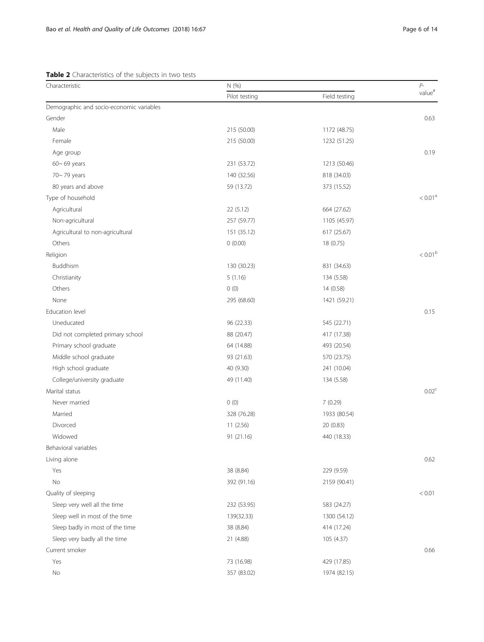# <span id="page-5-0"></span>Table 2 Characteristics of the subjects in two tests

| Characteristic                           | N (%)         |               | $P-$                |
|------------------------------------------|---------------|---------------|---------------------|
|                                          | Pilot testing | Field testing | value <sup>#</sup>  |
| Demographic and socio-economic variables |               |               |                     |
| Gender                                   |               |               | 0.63                |
| Male                                     | 215 (50.00)   | 1172 (48.75)  |                     |
| Female                                   | 215 (50.00)   | 1232 (51.25)  |                     |
| Age group                                |               |               | 0.19                |
| $60 - 69$ years                          | 231 (53.72)   | 1213 (50.46)  |                     |
| 70~79 years                              | 140 (32.56)   | 818 (34.03)   |                     |
| 80 years and above                       | 59 (13.72)    | 373 (15.52)   |                     |
| Type of household                        |               |               | < 0.01 <sup>a</sup> |
| Agricultural                             | 22 (5.12)     | 664 (27.62)   |                     |
| Non-agricultural                         | 257 (59.77)   | 1105 (45.97)  |                     |
| Agricultural to non-agricultural         | 151 (35.12)   | 617 (25.67)   |                     |
| Others                                   | 0(0.00)       | 18 (0.75)     |                     |
| Religion                                 |               |               | $< 0.01^{\rm b}$    |
| Buddhism                                 | 130 (30.23)   | 831 (34.63)   |                     |
| Christianity                             | 5(1.16)       | 134 (5.58)    |                     |
| Others                                   | 0(0)          | 14 (0.58)     |                     |
| None                                     | 295 (68.60)   | 1421 (59.21)  |                     |
| Education level                          |               |               | 0.15                |
| Uneducated                               | 96 (22.33)    | 545 (22.71)   |                     |
| Did not completed primary school         | 88 (20.47)    | 417 (17.38)   |                     |
| Primary school graduate                  | 64 (14.88)    | 493 (20.54)   |                     |
| Middle school graduate                   | 93 (21.63)    | 570 (23.75)   |                     |
| High school graduate                     | 40 (9.30)     | 241 (10.04)   |                     |
| College/university graduate              | 49 (11.40)    | 134 (5.58)    |                     |
| Marital status                           |               |               | 0.02 <sup>c</sup>   |
| Never married                            | 0(0)          | 7 (0.29)      |                     |
| Married                                  | 328 (76.28)   | 1933 (80.54)  |                     |
| Divorced                                 | 11(2.56)      | 20 (0.83)     |                     |
| Widowed                                  | 91 (21.16)    | 440 (18.33)   |                     |
| Behavioral variables                     |               |               |                     |
| Living alone                             |               |               | 0.62                |
| Yes                                      | 38 (8.84)     | 229 (9.59)    |                     |
| No                                       | 392 (91.16)   | 2159 (90.41)  |                     |
| Quality of sleeping                      |               |               | < 0.01              |
| Sleep very well all the time             | 232 (53.95)   | 583 (24.27)   |                     |
| Sleep well in most of the time           | 139(32.33)    | 1300 (54.12)  |                     |
| Sleep badly in most of the time          | 38 (8.84)     | 414 (17.24)   |                     |
| Sleep very badly all the time            | 21 (4.88)     | 105 (4.37)    |                     |
| Current smoker                           |               |               | 0.66                |
| Yes                                      | 73 (16.98)    | 429 (17.85)   |                     |
| No                                       | 357 (83.02)   | 1974 (82.15)  |                     |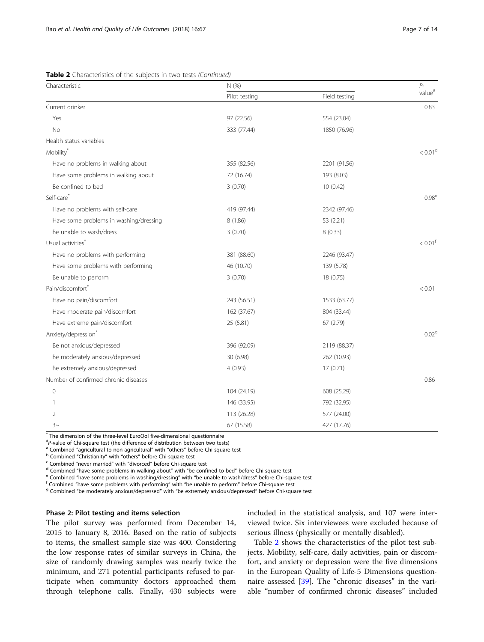| Characteristic                         | N (%)         |               | $P-$                  |
|----------------------------------------|---------------|---------------|-----------------------|
|                                        | Pilot testing | Field testing | value <sup>#</sup>    |
| Current drinker                        |               |               | 0.83                  |
| Yes                                    | 97 (22.56)    | 554 (23.04)   |                       |
| <b>No</b>                              | 333 (77.44)   | 1850 (76.96)  |                       |
| Health status variables                |               |               |                       |
| Mobility <sup>*</sup>                  |               |               | $< 0.01^{\rm d}$      |
| Have no problems in walking about      | 355 (82.56)   | 2201 (91.56)  |                       |
| Have some problems in walking about    | 72 (16.74)    | 193 (8.03)    |                       |
| Be confined to bed                     | 3(0.70)       | 10 (0.42)     |                       |
| Self-care <sup>*</sup>                 |               |               | 0.98 <sup>e</sup>     |
| Have no problems with self-care        | 419 (97.44)   | 2342 (97.46)  |                       |
| Have some problems in washing/dressing | 8(1.86)       | 53 (2.21)     |                       |
| Be unable to wash/dress                | 3(0.70)       | 8(0.33)       |                       |
| Usual activities                       |               |               | $< 0.01$ <sup>f</sup> |
| Have no problems with performing       | 381 (88.60)   | 2246 (93.47)  |                       |
| Have some problems with performing     | 46 (10.70)    | 139 (5.78)    |                       |
| Be unable to perform                   | 3(0.70)       | 18 (0.75)     |                       |
| Pain/discomfort <sup>*</sup>           |               |               | < 0.01                |
| Have no pain/discomfort                | 243 (56.51)   | 1533 (63.77)  |                       |
| Have moderate pain/discomfort          | 162 (37.67)   | 804 (33.44)   |                       |
| Have extreme pain/discomfort           | 25 (5.81)     | 67 (2.79)     |                       |
| Anxiety/depression <sup>*</sup>        |               |               | 0.029                 |
| Be not anxious/depressed               | 396 (92.09)   | 2119 (88.37)  |                       |
| Be moderately anxious/depressed        | 30 (6.98)     | 262 (10.93)   |                       |
| Be extremely anxious/depressed         | 4(0.93)       | 17(0.71)      |                       |
| Number of confirmed chronic diseases   |               |               | 0.86                  |
| $\mathbf 0$                            | 104 (24.19)   | 608 (25.29)   |                       |
| 1                                      | 146 (33.95)   | 792 (32.95)   |                       |
| $\overline{2}$                         | 113 (26.28)   | 577 (24.00)   |                       |
| $3-$                                   | 67 (15.58)    | 427 (17.76)   |                       |

\* The dimension of the three-level EuroQol five-dimensional questionnaire

#P-value of Chi-square test (the difference of distribution between two tests)

a Combined "agricultural to non-agricultural" with "others" before Chi-square test<br>
b Combined "Christianity" with "others" before Chi-square test<br>
combined "never married" with "divorced" before Chi-square test<br>
d Combin

#### Phase 2: Pilot testing and items selection

The pilot survey was performed from December 14, 2015 to January 8, 2016. Based on the ratio of subjects to items, the smallest sample size was 400. Considering the low response rates of similar surveys in China, the size of randomly drawing samples was nearly twice the minimum, and 271 potential participants refused to participate when community doctors approached them through telephone calls. Finally, 430 subjects were included in the statistical analysis, and 107 were interviewed twice. Six interviewees were excluded because of serious illness (physically or mentally disabled).

Table [2](#page-5-0) shows the characteristics of the pilot test subjects. Mobility, self-care, daily activities, pain or discomfort, and anxiety or depression were the five dimensions in the European Quality of Life-5 Dimensions questionnaire assessed [[39\]](#page-13-0). The "chronic diseases" in the variable "number of confirmed chronic diseases" included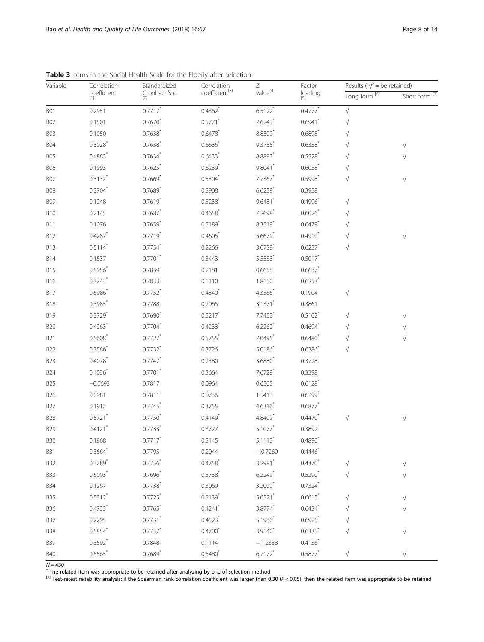| Variable   | Correlation           | Standardized          | Correlation           | Ζ                     | Factor                | Results (" $\sqrt{''}$ = be retained) |                           |
|------------|-----------------------|-----------------------|-----------------------|-----------------------|-----------------------|---------------------------------------|---------------------------|
|            | coefficient<br>$[1]$  | Cronbach's a<br>$[2]$ | coefficient[3]        | value <sup>[4]</sup>  | loading<br>[5]        | Long form [6]                         | Short form <sup>[7]</sup> |
| <b>B01</b> | 0.2951                | $0.7717*$             | $0.4362$ *            | $6.5122$ <sup>*</sup> | $0.4777*$             | $\sqrt{}$                             |                           |
| <b>B02</b> | 0.1501                | $0.7670*$             | $0.5771*$             | $7.6243$ *            | $0.6941$ *            | $\sqrt{}$                             |                           |
| <b>B03</b> | 0.1050                | $0.7638*$             | 0.6478                | 8.8509*               | 0.6898                | $\sqrt{}$                             |                           |
| <b>B04</b> | 0.3028                | 0.7638                | $0.6636*$             | $9.3755$ <sup>*</sup> | 0.6358                |                                       | $\sqrt{}$                 |
| <b>B05</b> | $0.4883*$             | $0.7634*$             | $0.6433*$             | 8.8892                | $0.5528*$             | $\sqrt{}$                             | $\sqrt{}$                 |
| <b>B06</b> | 0.1993                | 0.7625                | $0.6239*$             | $9.8041$ *            | 0.6058                |                                       |                           |
| <b>B07</b> | $0.3132$ <sup>*</sup> | $0.7669$ <sup>*</sup> | 0.5304                | 7.7367                | 0.5998                | $\sqrt{}$                             | $\sqrt{}$                 |
| <b>B08</b> | $0.3704$ <sup>*</sup> | $0.7689$ <sup>*</sup> | 0.3908                | 6.6259                | 0.3958                |                                       |                           |
| <b>B09</b> | 0.1248                | $0.7619*$             | $0.5238*$             | $9.6481$ *            | $0.4996*$             | $\sqrt{}$                             |                           |
| <b>B10</b> | 0.2145                | 0.7687                | 0.4658                | 7.2698                | $0.6026*$             | $\sqrt{}$                             |                           |
| <b>B11</b> | 0.1076                | $0.7659$ <sup>*</sup> | $0.5189$ <sup>*</sup> | 8.3519*               | $0.6479$ *            | $\sqrt{}$                             |                           |
| <b>B12</b> | 0.4287                | $0.7719*$             | 0.4605                | $5.6679*$             | $0.4910*$             |                                       | $\sqrt{}$                 |
| <b>B13</b> | $0.5114$ <sup>*</sup> | 0.7754                | 0.2266                | 3.0738                | 0.6257                | $\sqrt{}$                             |                           |
| <b>B14</b> | 0.1537                | $0.7701$ <sup>*</sup> | 0.3443                | 5.5538*               | $0.5017$ *            |                                       |                           |
| <b>B15</b> | $0.5956*$             | 0.7839                | 0.2181                | 0.6658                | $0.6637$ *            |                                       |                           |
| <b>B16</b> | 0.3743                | 0.7833                | 0.1110                | 1.8150                | $0.6253$ <sup>*</sup> |                                       |                           |
| <b>B17</b> | $0.6986*$             | $0.7752$ <sup>*</sup> | $0.4340*$             | 4.3566                | 0.1904                | $\sqrt{}$                             |                           |
| <b>B18</b> | $0.3985$ <sup>*</sup> | 0.7788                | 0.2065                | $3.1371$ *            | 0.3861                |                                       |                           |
| <b>B19</b> | $0.3729$ <sup>*</sup> | $0.7690^{*}$          | $0.5217$ *            | 7.7453                | 0.5102                | $\sqrt{}$                             | $\sqrt{}$                 |
| <b>B20</b> | $0.4263$ <sup>*</sup> | $0.7704*$             | $0.4233*$             | $6.2262$ <sup>*</sup> | $0.4694*$             | $\sqrt{}$                             | √                         |
| <b>B21</b> | 0.5608                | $0.7727$ <sup>*</sup> | $0.5755$ *            | $7.0495$ *            | $0.6480*$             |                                       | $\sqrt{}$                 |
| <b>B22</b> | $0.3586*$             | $0.7732$ <sup>*</sup> | 0.3726                | 5.0186                | $0.6386*$             | $\sqrt{}$                             |                           |
| <b>B23</b> | $0.4078$ <sup>*</sup> | 0.7747                | 0.2380                | 3.6880                | 0.3728                |                                       |                           |
| <b>B24</b> | $0.4036*$             | $0.7701$ <sup>*</sup> | 0.3664                | 7.6728                | 0.3398                |                                       |                           |
| <b>B25</b> | $-0.0693$             | 0.7817                | 0.0964                | 0.6503                | 0.6128                |                                       |                           |
| <b>B26</b> | 0.0981                | 0.7811                | 0.0736                | 1.5413                | $0.6299$ <sup>*</sup> |                                       |                           |
| <b>B27</b> | 0.1912                | 0.7745                | 0.3755                | $4.6316*$             | $0.6877$ *            |                                       |                           |
| <b>B28</b> | $0.5721$ <sup>*</sup> | $0.7750*$             | $0.4149$ <sup>*</sup> | 4.8409                | $0.4470*$             | $\sqrt{}$                             | $\sqrt{}$                 |
| <b>B29</b> | $0.4121$ <sup>*</sup> | $0.7733*$             | 0.3727                | 5.1077                | 0.3892                |                                       |                           |
| <b>B30</b> | 0.1868                | $0.7717*$             | 0.3145                | 5.1113*               | $0.4890*$             |                                       |                           |
| <b>B31</b> | $0.3664$ <sup>*</sup> | 0.7795                | 0.2044                | $-0.7260$             | $0.4446*$             |                                       |                           |
| <b>B32</b> | $0.3289$ *            | $0.7756*$             | $0.4758$ <sup>*</sup> | $3.2981$ *            | $0.4370*$             | $\sqrt{}$                             | $\sqrt{}$                 |
| <b>B33</b> | $0.6003$ *            | $0.7696*$             | $0.5738*$             | $6.2249*$             | $0.5290*$             | $\sqrt{}$                             | $\sqrt{}$                 |
| <b>B34</b> | 0.1267                | 0.7738                | 0.3069                | 3.2000*               | $0.7324$ <sup>*</sup> |                                       |                           |
| <b>B35</b> | $0.5312*$             | $0.7725$ *            | $0.5139*$             | $5.6521$ *            | 0.6615                | $\sqrt{}$                             | $\sqrt{}$                 |
| <b>B36</b> | $0.4733*$             | $0.7765$ *            | $0.4241$ *            | 3.8774*               | $0.6434*$             |                                       |                           |
| <b>B37</b> | 0.2295                | $0.7731$ *            | 0.4523                | 5.1986*               | 0.6925                |                                       |                           |
| <b>B38</b> | $0.5854$ *            | 0.7757                | $0.4700*$             | $3.9140*$             | $0.6335$ *            | $\sqrt{}$                             | $\sqrt{}$                 |
| <b>B39</b> | $0.3592$ *            | 0.7848                | 0.1114                | $-1.2338$             | $0.4136*$             |                                       |                           |
| <b>B40</b> | $0.5565$ <sup>*</sup> | $0.7689$ <sup>*</sup> | $0.5480*$             | $6.7172$ *            | $0.5877$ *            | $\sqrt{}$                             | $\sqrt{}$                 |

<span id="page-7-0"></span>Table 3 Items in the Social Health Scale for the Elderly after selection

N = 430<br>\* The related item was appropriate to be retained after analyzing by one of selection method

 $^{[1]}$  Test-retest reliability analysis: if the Spearman rank correlation coefficient was larger than 0.30 (P < 0.05), then the related item was appropriate to be retained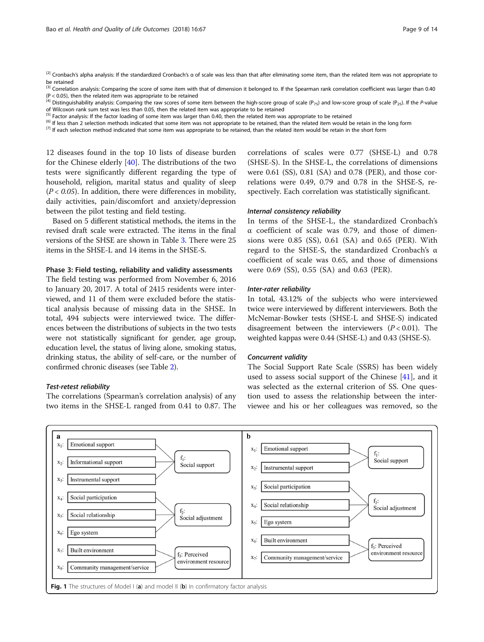<span id="page-8-0"></span>[2] Cronbach's alpha analysis: If the standardized Cronbach's α of scale was less than that after eliminating some item, than the related item was not appropriate to be retained

[3] Correlation analysis: Comparing the score of some item with that of dimension it belonged to. If the Spearman rank correlation coefficient was larger than 0.40

(P < 0.05), then the related item was appropriate to be retained<br><sup>[4]</sup> Distinguishability analysis: Comparing the raw scores of some item between the high-score group of scale (P<sub>25</sub>) and low-score group of scale (P<sub>25</sub>). of Wilcoxon rank sum test was less than 0.05, then the related item was appropriate to be retained<br><sup>[5]</sup> Factor analysis: If the factor loading of some item was larger than 0.40, then the related item was appropriate to be

<sup>[6]</sup> If less than 2 selection methods indicated that some item was not appropriate to be retained, than the related item would be retain in the long form  $^{[7]}$  If each selection method indicated that some item was appro

12 diseases found in the top 10 lists of disease burden for the Chinese elderly [\[40](#page-13-0)]. The distributions of the two tests were significantly different regarding the type of household, religion, marital status and quality of sleep  $(P < 0.05)$ . In addition, there were differences in mobility, daily activities, pain/discomfort and anxiety/depression between the pilot testing and field testing.

Based on 5 different statistical methods, the items in the revised draft scale were extracted. The items in the final versions of the SHSE are shown in Table [3.](#page-7-0) There were 25 items in the SHSE-L and 14 items in the SHSE-S.

# Phase 3: Field testing, reliability and validity assessments

The field testing was performed from November 6, 2016 to January 20, 2017. A total of 2415 residents were interviewed, and 11 of them were excluded before the statistical analysis because of missing data in the SHSE. In total, 494 subjects were interviewed twice. The differences between the distributions of subjects in the two tests were not statistically significant for gender, age group, education level, the status of living alone, smoking status, drinking status, the ability of self-care, or the number of confirmed chronic diseases (see Table [2](#page-5-0)).

#### Test-retest reliability

The correlations (Spearman's correlation analysis) of any two items in the SHSE-L ranged from 0.41 to 0.87. The correlations of scales were 0.77 (SHSE-L) and 0.78 (SHSE-S). In the SHSE-L, the correlations of dimensions were 0.61 (SS), 0.81 (SA) and 0.78 (PER), and those correlations were 0.49, 0.79 and 0.78 in the SHSE-S, respectively. Each correlation was statistically significant.

# Internal consistency reliability

In terms of the SHSE-L, the standardized Cronbach's α coefficient of scale was 0.79, and those of dimensions were 0.85 (SS), 0.61 (SA) and 0.65 (PER). With regard to the SHSE-S, the standardized Cronbach's α coefficient of scale was 0.65, and those of dimensions were 0.69 (SS), 0.55 (SA) and 0.63 (PER).

#### Inter-rater reliability

In total, 43.12% of the subjects who were interviewed twice were interviewed by different interviewers. Both the McNemar-Bowker tests (SHSE-L and SHSE-S) indicated disagreement between the interviewers  $(P < 0.01)$ . The weighted kappas were 0.44 (SHSE-L) and 0.43 (SHSE-S).

#### Concurrent validity

The Social Support Rate Scale (SSRS) has been widely used to assess social support of the Chinese [\[41](#page-13-0)], and it was selected as the external criterion of SS. One question used to assess the relationship between the interviewee and his or her colleagues was removed, so the

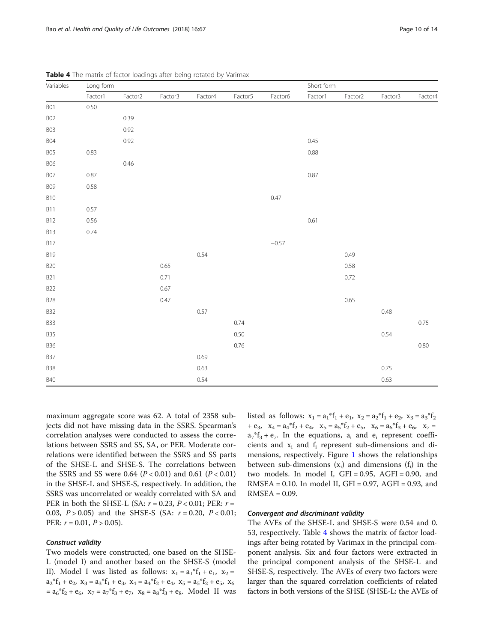| Variables  |          | Long form |         |         |         |         | Short form |                     |         |                     |
|------------|----------|-----------|---------|---------|---------|---------|------------|---------------------|---------|---------------------|
|            | Factor1  | Factor2   | Factor3 | Factor4 | Factor5 | Factor6 | Factor1    | Factor <sub>2</sub> | Factor3 | Factor <sup>4</sup> |
| <b>B01</b> | 0.50     |           |         |         |         |         |            |                     |         |                     |
| <b>B02</b> |          | 0.39      |         |         |         |         |            |                     |         |                     |
| <b>B03</b> |          | 0.92      |         |         |         |         |            |                     |         |                     |
| <b>B04</b> |          | 0.92      |         |         |         |         | 0.45       |                     |         |                     |
| <b>B05</b> | 0.83     |           |         |         |         |         | 0.88       |                     |         |                     |
| <b>B06</b> |          | 0.46      |         |         |         |         |            |                     |         |                     |
| <b>B07</b> | $0.87\,$ |           |         |         |         |         | 0.87       |                     |         |                     |
| <b>B09</b> | 0.58     |           |         |         |         |         |            |                     |         |                     |
| <b>B10</b> |          |           |         |         |         | 0.47    |            |                     |         |                     |
| <b>B11</b> | 0.57     |           |         |         |         |         |            |                     |         |                     |
| <b>B12</b> | 0.56     |           |         |         |         |         | 0.61       |                     |         |                     |
| <b>B13</b> | 0.74     |           |         |         |         |         |            |                     |         |                     |
| <b>B17</b> |          |           |         |         |         | $-0.57$ |            |                     |         |                     |
| <b>B19</b> |          |           |         | 0.54    |         |         |            | 0.49                |         |                     |
| <b>B20</b> |          |           | 0.65    |         |         |         |            | 0.58                |         |                     |
| <b>B21</b> |          |           | 0.71    |         |         |         |            | 0.72                |         |                     |
| <b>B22</b> |          |           | 0.67    |         |         |         |            |                     |         |                     |
| <b>B28</b> |          |           | 0.47    |         |         |         |            | 0.65                |         |                     |
| <b>B32</b> |          |           |         | 0.57    |         |         |            |                     | 0.48    |                     |
| <b>B33</b> |          |           |         |         | 0.74    |         |            |                     |         | 0.75                |
| <b>B35</b> |          |           |         |         | 0.50    |         |            |                     | 0.54    |                     |
| <b>B36</b> |          |           |         |         | 0.76    |         |            |                     |         | 0.80                |
| <b>B37</b> |          |           |         | 0.69    |         |         |            |                     |         |                     |
| <b>B38</b> |          |           |         | 0.63    |         |         |            |                     | 0.75    |                     |
| <b>B40</b> |          |           |         | 0.54    |         |         |            |                     | 0.63    |                     |

**Table 4** The matrix of factor loadings after being rotated by Varimax

maximum aggregate score was 62. A total of 2358 subjects did not have missing data in the SSRS. Spearman's correlation analyses were conducted to assess the correlations between SSRS and SS, SA, or PER. Moderate correlations were identified between the SSRS and SS parts of the SHSE-L and SHSE-S. The correlations between the SSRS and SS were 0.64 ( $P < 0.01$ ) and 0.61 ( $P < 0.01$ ) in the SHSE-L and SHSE-S, respectively. In addition, the SSRS was uncorrelated or weakly correlated with SA and PER in both the SHSE-L (SA:  $r = 0.23$ ,  $P < 0.01$ ; PER:  $r =$ 0.03,  $P > 0.05$ ) and the SHSE-S (SA:  $r = 0.20$ ,  $P < 0.01$ ; PER:  $r = 0.01$ ,  $P > 0.05$ ).

# Construct validity

Two models were constructed, one based on the SHSE-L (model I) and another based on the SHSE-S (model II). Model I was listed as follows:  $x_1 = a_1 * f_1 + e_1$ ,  $x_2 =$  $a_2^*f_1 + e_2$ ,  $x_3 = a_3^*f_1 + e_3$ ,  $x_4 = a_4^*f_2 + e_4$ ,  $x_5 = a_5^*f_2 + e_5$ ,  $x_6$  $= a_6 * f_2 + e_6$ ,  $x_7 = a_7 * f_3 + e_7$ ,  $x_8 = a_8 * f_3 + e_8$ . Model II was listed as follows:  $x_1 = a_1 * f_1 + e_1$ ,  $x_2 = a_2 * f_1 + e_2$ ,  $x_3 = a_3 * f_2$ + e<sub>3</sub>,  $x_4 = a_4 * f_2 + e_4$ ,  $x_5 = a_5 * f_2 + e_5$ ,  $x_6 = a_6 * f_3 + e_6$ ,  $x_7 =$  $a_7 * f_3 + e_7$ . In the equations,  $a_i$  and  $e_i$  represent coefficients and  $x_i$  and  $f_i$  represent sub-dimensions and dimensions, respectively. Figure [1](#page-8-0) shows the relationships between sub-dimensions  $(x_i)$  and dimensions  $(f_i)$  in the two models. In model I,  $GFI = 0.95$ ,  $AGFI = 0.90$ , and RMSEA =  $0.10$ . In model II, GFI =  $0.97$ , AGFI =  $0.93$ , and RMSEA = 0.09.

# Convergent and discriminant validity

The AVEs of the SHSE-L and SHSE-S were 0.54 and 0. 53, respectively. Table 4 shows the matrix of factor loadings after being rotated by Varimax in the principal component analysis. Six and four factors were extracted in the principal component analysis of the SHSE-L and SHSE-S, respectively. The AVEs of every two factors were larger than the squared correlation coefficients of related factors in both versions of the SHSE (SHSE-L: the AVEs of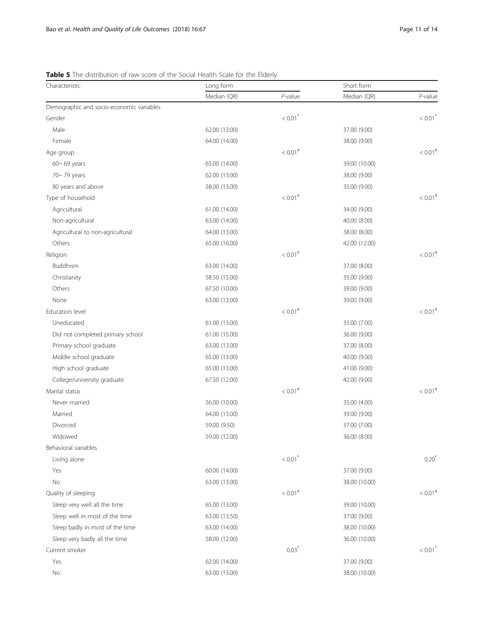<span id="page-10-0"></span>

| <b>Table 5</b> The distribution of raw score of the Social Health Scale for the Elderly |
|-----------------------------------------------------------------------------------------|
|-----------------------------------------------------------------------------------------|

| Median (QR)<br>$P$ -value<br>Median (QR)                          | $P$ -value            |
|-------------------------------------------------------------------|-----------------------|
|                                                                   |                       |
| Demographic and socio-economic variables                          |                       |
| $< 0.01$ <sup>*</sup><br>Gender                                   | $< 0.01$ <sup>*</sup> |
| Male<br>62.00 (13.00)<br>37.00 (9.00)                             |                       |
| Female<br>64.00 (14.00)<br>38.00 (9.00)                           |                       |
| $< 0.01^{\#}$<br>Age group                                        | $< 0.01^{\text{\#}}$  |
| $60 - 69$ years<br>65.00 (14.00)<br>39.00 (10.00)                 |                       |
| 70~79 years<br>62.00 (13.00)<br>38.00 (9.00)                      |                       |
| 80 years and above<br>58.00 (13.00)<br>35.00 (9.00)               |                       |
| $< 0.01$ <sup>#</sup><br>Type of household                        | $< 0.01^{\text{\#}}$  |
| Agricultural<br>61.00 (14.00)<br>34.00 (9.00)                     |                       |
| Non-agricultural<br>63.00 (14.00)<br>40.00 (8.00)                 |                       |
| Agricultural to non-agricultural<br>64.00 (13.00)<br>38.00 (8.00) |                       |
| Others<br>65.00 (16.00)<br>42.00 (12.00)                          |                       |
| $< 0.01$ <sup>#</sup><br>Religion                                 | $< 0.01^{\text{\#}}$  |
| Buddhism<br>63.00 (14.00)<br>37.00 (8.00)                         |                       |
| Christianity<br>58.50 (15.00)<br>35.00 (9.00)                     |                       |
| Others<br>67.50 (10.00)<br>39.00 (9.00)                           |                       |
| None<br>63.00 (13.00)<br>39.00 (9.00)                             |                       |
| $< 0.01$ <sup>#</sup><br>Education level                          | $< 0.01$ <sup>#</sup> |
| Uneducated<br>61.00 (13.00)<br>35.00 (7.00)                       |                       |
| Did not completed primary school<br>61.00 (15.00)<br>36.00 (9.00) |                       |
| Primary school graduate<br>63.00 (13.00)<br>37.00 (8.00)          |                       |
| Middle school graduate<br>65.00 (13.00)<br>40.00 (9.00)           |                       |
| High school graduate<br>65.00 (13.00)<br>41.00 (9.00)             |                       |
| College/university graduate<br>67.50 (12.00)<br>42.00 (9.00)      |                       |
| $< 0.01$ <sup>#</sup><br>Marital status                           | $< 0.01^{\text{\#}}$  |
| Never married<br>56.00 (10.00)<br>35.00 (4.00)                    |                       |
| Married<br>64.00 (13.00)<br>39.00 (9.00)                          |                       |
| Divorced<br>59.00 (9.50)<br>37.00 (7.00)                          |                       |
| Widowed<br>59.00 (12.00)<br>36.00 (8.00)                          |                       |
| Behavioral variables                                              |                       |
| $< 0.01$ <sup>*</sup><br>Living alone                             | $0.20^*$              |
| 37.00 (9.00)<br>Yes<br>60.00 (14.00)                              |                       |
| <b>No</b><br>63.00 (13.00)<br>38.00 (10.00)                       |                       |
| $< 0.01$ #<br>Quality of sleeping                                 | $< 0.01$ <sup>#</sup> |
| Sleep very well all the time<br>65.00 (13.00)<br>39.00 (10.00)    |                       |
| Sleep well in most of the time<br>37.00 (9.00)<br>63.00 (13.50)   |                       |
| Sleep badly in most of the time<br>63.00 (14.00)<br>38.00 (10.00) |                       |
| Sleep very badly all the time<br>58.00 (12.00)<br>36.00 (10.00)   |                       |
| 0.03<br>Current smoker                                            | $< 0.01$ <sup>*</sup> |
| Yes<br>62.00 (14.00)<br>37.00 (9.00)                              |                       |
| 63.00 (13.00)<br>38.00 (10.00)<br>No                              |                       |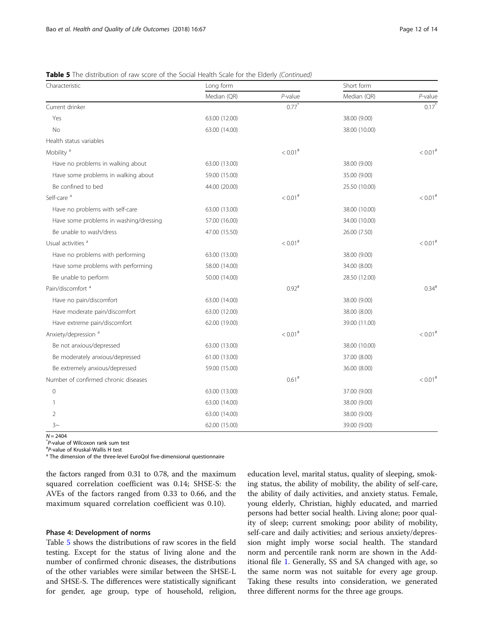|  |  | <b>Table 5</b> The distribution of raw score of the Social Health Scale for the Elderly (Continued) |
|--|--|-----------------------------------------------------------------------------------------------------|
|  |  |                                                                                                     |

| Characteristic                         | Long form     |                       | Short form    |                       |
|----------------------------------------|---------------|-----------------------|---------------|-----------------------|
|                                        | Median (QR)   | $P$ -value            | Median (QR)   | $P$ -value            |
| Current drinker                        |               | $0.77$ <sup>*</sup>   |               | $0.17*$               |
| Yes                                    | 63.00 (12.00) |                       | 38.00 (9.00)  |                       |
| <b>No</b>                              | 63.00 (14.00) |                       | 38.00 (10.00) |                       |
| Health status variables                |               |                       |               |                       |
| Mobility <sup>a</sup>                  |               | $< 0.01$ <sup>#</sup> |               | $< 0.01$ #            |
| Have no problems in walking about      | 63.00 (13.00) |                       | 38.00 (9.00)  |                       |
| Have some problems in walking about    | 59.00 (15.00) |                       | 35.00 (9.00)  |                       |
| Be confined to bed                     | 44.00 (20.00) |                       | 25.50 (10.00) |                       |
| Self-care <sup>a</sup>                 |               | $< 0.01$ <sup>#</sup> |               | $< 0.01$ #            |
| Have no problems with self-care        | 63.00 (13.00) |                       | 38.00 (10.00) |                       |
| Have some problems in washing/dressing | 57.00 (16.00) |                       | 34.00 (10.00) |                       |
| Be unable to wash/dress                | 47.00 (15.50) |                       | 26.00 (7.50)  |                       |
| Usual activities <sup>a</sup>          |               | $< 0.01$ <sup>#</sup> |               | $< 0.01$ <sup>#</sup> |
| Have no problems with performing       | 63.00 (13.00) |                       | 38.00 (9.00)  |                       |
| Have some problems with performing     | 58.00 (14.00) |                       | 34.00 (8.00)  |                       |
| Be unable to perform                   | 50.00 (14.00) |                       | 28.50 (12.00) |                       |
| Pain/discomfort <sup>a</sup>           |               | $0.92$ <sup>#</sup>   |               | $0.34^{#}$            |
| Have no pain/discomfort                | 63.00 (14.00) |                       | 38.00 (9.00)  |                       |
| Have moderate pain/discomfort          | 63.00 (12.00) |                       | 38.00 (8.00)  |                       |
| Have extreme pain/discomfort           | 62.00 (19.00) |                       | 39.00 (11.00) |                       |
| Anxiety/depression <sup>a</sup>        |               | $< 0.01$ <sup>#</sup> |               | $< 0.01$ #            |
| Be not anxious/depressed               | 63.00 (13.00) |                       | 38.00 (10.00) |                       |
| Be moderately anxious/depressed        | 61.00 (13.00) |                       | 37.00 (8.00)  |                       |
| Be extremely anxious/depressed         | 59.00 (15.00) |                       | 36.00 (8.00)  |                       |
| Number of confirmed chronic diseases   |               | $0.61$ <sup>#</sup>   |               | $< 0.01$ <sup>#</sup> |
| $\mathbf 0$                            | 63.00 (13.00) |                       | 37.00 (9.00)  |                       |
| 1                                      | 63.00 (14.00) |                       | 38.00 (9.00)  |                       |
| 2                                      | 63.00 (14.00) |                       | 38.00 (9.00)  |                       |
| $3-$                                   | 62.00 (15.00) |                       | 39.00 (9.00)  |                       |

 $N = 2404$ 

 $\sum_{i=1}^{n} P_i$ -value of Wilcoxon rank sum test<br>#P-value of Kruskal-Wallis H test

<sup>a</sup> The dimension of the three-level EuroQol five-dimensional questionnaire

the factors ranged from 0.31 to 0.78, and the maximum squared correlation coefficient was 0.14; SHSE-S: the AVEs of the factors ranged from 0.33 to 0.66, and the maximum squared correlation coefficient was 0.10).

# Phase 4: Development of norms

Table [5](#page-10-0) shows the distributions of raw scores in the field testing. Except for the status of living alone and the number of confirmed chronic diseases, the distributions of the other variables were similar between the SHSE-L and SHSE-S. The differences were statistically significant for gender, age group, type of household, religion,

education level, marital status, quality of sleeping, smoking status, the ability of mobility, the ability of self-care, the ability of daily activities, and anxiety status. Female, young elderly, Christian, highly educated, and married persons had better social health. Living alone; poor quality of sleep; current smoking; poor ability of mobility, self-care and daily activities; and serious anxiety/depression might imply worse social health. The standard norm and percentile rank norm are shown in the Additional file [1.](#page-12-0) Generally, SS and SA changed with age, so the same norm was not suitable for every age group. Taking these results into consideration, we generated three different norms for the three age groups.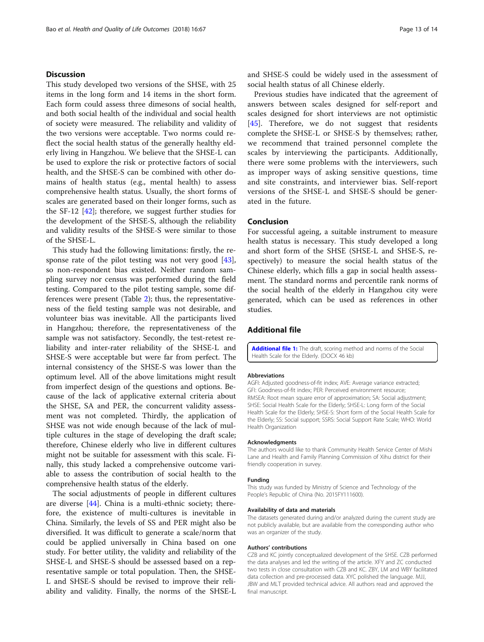# <span id="page-12-0"></span>**Discussion**

This study developed two versions of the SHSE, with 25 items in the long form and 14 items in the short form. Each form could assess three dimesons of social health, and both social health of the individual and social health of society were measured. The reliability and validity of the two versions were acceptable. Two norms could reflect the social health status of the generally healthy elderly living in Hangzhou. We believe that the SHSE-L can be used to explore the risk or protective factors of social health, and the SHSE-S can be combined with other domains of health status (e.g., mental health) to assess comprehensive health status. Usually, the short forms of scales are generated based on their longer forms, such as the SF-12 [[42\]](#page-13-0); therefore, we suggest further studies for the development of the SHSE-S, although the reliability and validity results of the SHSE-S were similar to those of the SHSE-L.

This study had the following limitations: firstly, the response rate of the pilot testing was not very good [\[43](#page-13-0)], so non-respondent bias existed. Neither random sampling survey nor census was performed during the field testing. Compared to the pilot testing sample, some differences were present (Table [2](#page-5-0)); thus, the representativeness of the field testing sample was not desirable, and volunteer bias was inevitable. All the participants lived in Hangzhou; therefore, the representativeness of the sample was not satisfactory. Secondly, the test-retest reliability and inter-rater reliability of the SHSE-L and SHSE-S were acceptable but were far from perfect. The internal consistency of the SHSE-S was lower than the optimum level. All of the above limitations might result from imperfect design of the questions and options. Because of the lack of applicative external criteria about the SHSE, SA and PER, the concurrent validity assessment was not completed. Thirdly, the application of SHSE was not wide enough because of the lack of multiple cultures in the stage of developing the draft scale; therefore, Chinese elderly who live in different cultures might not be suitable for assessment with this scale. Finally, this study lacked a comprehensive outcome variable to assess the contribution of social health to the comprehensive health status of the elderly.

The social adjustments of people in different cultures are diverse [\[44](#page-13-0)]. China is a multi-ethnic society; therefore, the existence of multi-cultures is inevitable in China. Similarly, the levels of SS and PER might also be diversified. It was difficult to generate a scale/norm that could be applied universally in China based on one study. For better utility, the validity and reliability of the SHSE-L and SHSE-S should be assessed based on a representative sample or total population. Then, the SHSE-L and SHSE-S should be revised to improve their reliability and validity. Finally, the norms of the SHSE-L and SHSE-S could be widely used in the assessment of social health status of all Chinese elderly.

Previous studies have indicated that the agreement of answers between scales designed for self-report and scales designed for short interviews are not optimistic [[45\]](#page-13-0). Therefore, we do not suggest that residents complete the SHSE-L or SHSE-S by themselves; rather, we recommend that trained personnel complete the scales by interviewing the participants. Additionally, there were some problems with the interviewers, such as improper ways of asking sensitive questions, time and site constraints, and interviewer bias. Self-report versions of the SHSE-L and SHSE-S should be generated in the future.

# Conclusion

For successful ageing, a suitable instrument to measure health status is necessary. This study developed a long and short form of the SHSE (SHSE-L and SHSE-S, respectively) to measure the social health status of the Chinese elderly, which fills a gap in social health assessment. The standard norms and percentile rank norms of the social health of the elderly in Hangzhou city were generated, which can be used as references in other studies.

### Additional file

[Additional file 1:](https://doi.org/10.1186/s12955-018-0899-6) The draft, scoring method and norms of the Social Health Scale for the Elderly. (DOCX 46 kb)

#### Abbreviations

AGFI: Adjusted goodness-of-fit index; AVE: Average variance extracted; GFI: Goodness-of-fit index; PER: Perceived environment resource; RMSEA: Root mean square error of approximation; SA: Social adjustment; SHSE: Social Health Scale for the Elderly; SHSE-L: Long form of the Social Health Scale for the Elderly; SHSE-S: Short form of the Social Health Scale for the Elderly; SS: Social support; SSRS: Social Support Rate Scale; WHO: World Health Organization

#### Acknowledgments

The authors would like to thank Community Health Service Center of Mishi Lane and Health and Family Planning Commission of Xihu district for their friendly cooperation in survey.

#### Funding

This study was funded by Ministry of Science and Technology of the People's Republic of China (No. 2015FY111600).

#### Availability of data and materials

The datasets generated during and/or analyzed during the current study are not publicly available, but are available from the corresponding author who was an organizer of the study.

#### Authors' contributions

CZB and KC jointly conceptualized development of the SHSE. CZB performed the data analyses and led the writing of the article. XFY and ZC conducted two tests in close consultation with CZB and KC. ZBY, LM and WBY facilitated data collection and pre-processed data. XYC polished the language. MJJ, JBW and MLT provided technical advice. All authors read and approved the final manuscript.